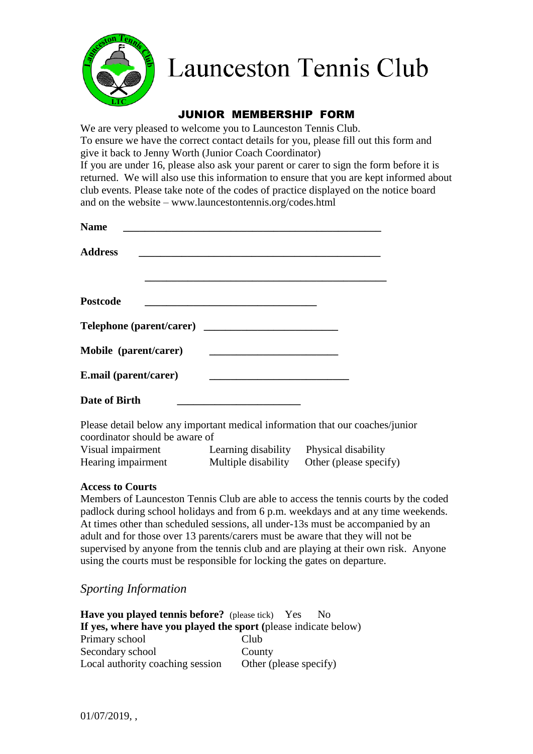

# **Launceston Tennis Club**

## JUNIOR MEMBERSHIP FORM

We are very pleased to welcome you to Launceston Tennis Club. To ensure we have the correct contact details for you, please fill out this form and give it back to Jenny Worth (Junior Coach Coordinator)

If you are under 16, please also ask your parent or carer to sign the form before it is returned. We will also use this information to ensure that you are kept informed about club events. Please take note of the codes of practice displayed on the notice board and on the website – www.launcestontennis.org/codes.html

| <b>Name</b>           |  |
|-----------------------|--|
| <b>Address</b>        |  |
|                       |  |
| <b>Postcode</b>       |  |
|                       |  |
| Mobile (parent/carer) |  |
| E.mail (parent/carer) |  |
| Date of Birth         |  |

Please detail below any important medical information that our coaches/junior coordinator should be aware of

| Visual impairment  | Learning disability | Physical disability    |
|--------------------|---------------------|------------------------|
| Hearing impairment | Multiple disability | Other (please specify) |

#### **Access to Courts**

Members of Launceston Tennis Club are able to access the tennis courts by the coded padlock during school holidays and from 6 p.m. weekdays and at any time weekends. At times other than scheduled sessions, all under-13s must be accompanied by an adult and for those over 13 parents/carers must be aware that they will not be supervised by anyone from the tennis club and are playing at their own risk. Anyone using the courts must be responsible for locking the gates on departure.

## *Sporting Information*

**Have you played tennis before?** (please tick) Yes No **If yes, where have you played the sport (**please indicate below) Primary school Club Secondary school County Local authority coaching session Other (please specify)

01/07/2019, ,